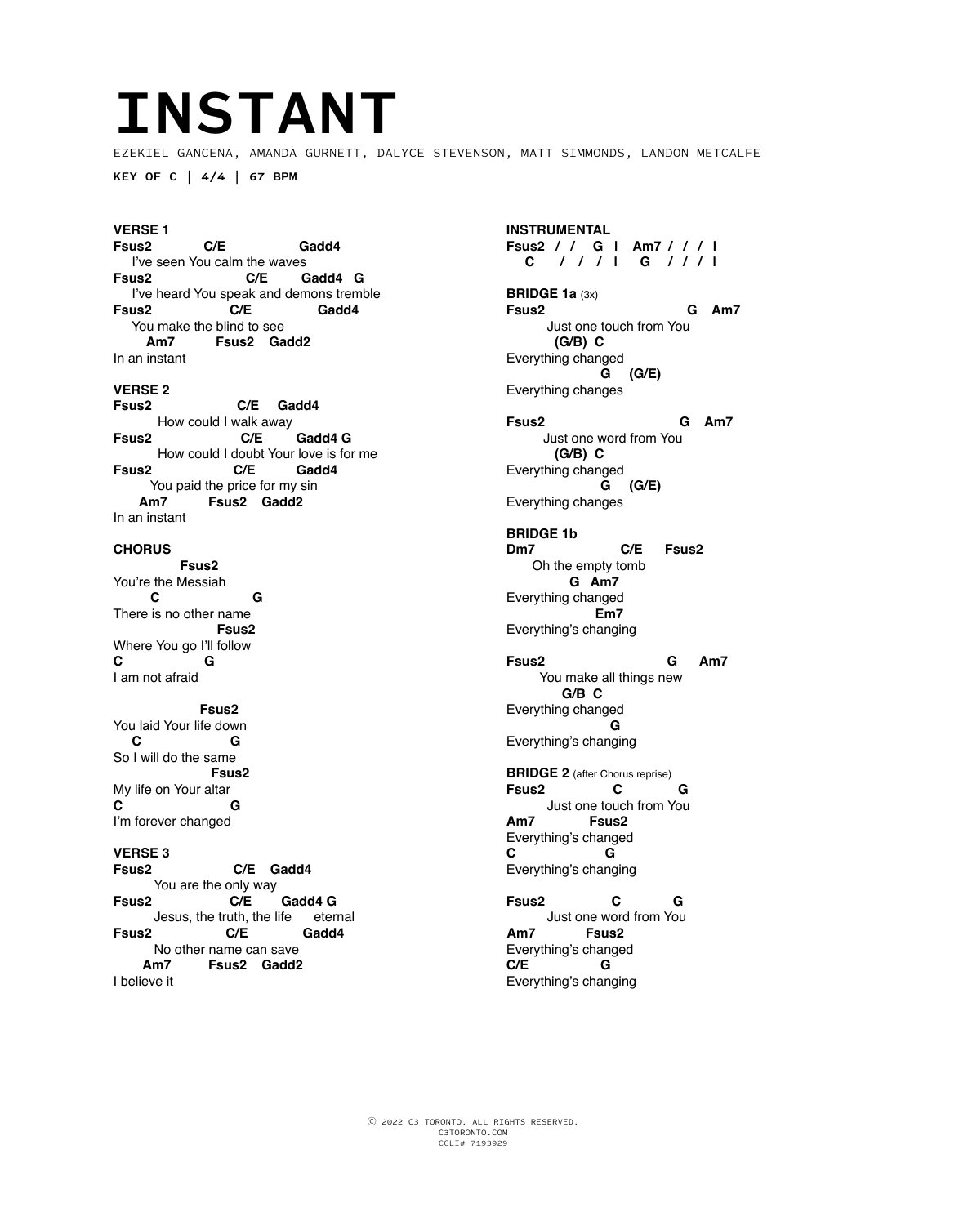## **INSTANT**

EZEKIEL GANCENA, AMANDA GURNETT, DALYCE STEVENSON, MATT SIMMONDS, LANDON METCALFE

**KEY OF C | 4/4 | 67 BPM** 

#### **VERSE 1**

#### **Fsus2 C/E Gadd4** I've seen You calm the waves<br> **Fsus2** C/E G **Fsus2 C/E Gadd4 G** I've heard You speak and demons tremble **Fsus2 C/E Gadd4** You make the blind to see  **Am7 Fsus2 Gadd2** In an instant

**VERSE 2** C/E Gadd4 How could I walk away<br>2 **C/E** Gadd4 G Fsus2 C/E How could I doubt Your love is for me<br> **C/E** Gadd4 **Fsus2 C/E Gadd4**  You paid the price for my sin  **Am7 Fsus2 Gadd2** In an instant

#### **CHORUS**

 **Fsus2**  You're the Messiah  **C G** There is no other name  **Fsus2**  Where You go I'll follow **C G** I am not afraid

 **Fsus2** You laid Your life down  **C G** So I will do the same  **Fsus2** My life on Your altar<br>**C G C G** I'm forever changed

#### **VERSE 3**

**Fsus2 C/E Gadd4** You are the only way<br>C/E **Fsus2 C/E Gadd4 G**  Jesus, the truth, the life eternal<br>
Fsus2 C/E Gadd4 **C/E** No other name can save<br>**Am7** Fsus2 Gadd2 **Fsus2 Gadd2** I believe it

**INSTRUMENTAL Fsus2 / / G | Am7 / / / | C / / / | G / / / | BRIDGE 1a** (3x) **Fsus2 G Am7**  Just one touch from You  **(G/B) C**  Everything changed  **G (G/E)** Everything changes **Fsus2 G Am7** Just one word from You  **(G/B) C**  Everything changed  **G (G/E)** Everything changes **BRIDGE 1b Dm7 C/E Fsus2** Oh the empty tomb  **G Am7** Everything changed  **Em7** Everything's changing **Fsus2 G Am7** You make all things new  **G/B C**  Everything changed<br>G  **G** Everything's changing **BRIDGE 2** (after Chorus reprise) **Fsus2 C G**  Just one touch from You **Am7 Fsus2**  Everything's changed<br>**C G C G**  Everything's changing

**Fsus2 C G**  Just one word from You **Am7 Fsus2**  Everything's changed<br>C/E G **C/E G**  Everything's changing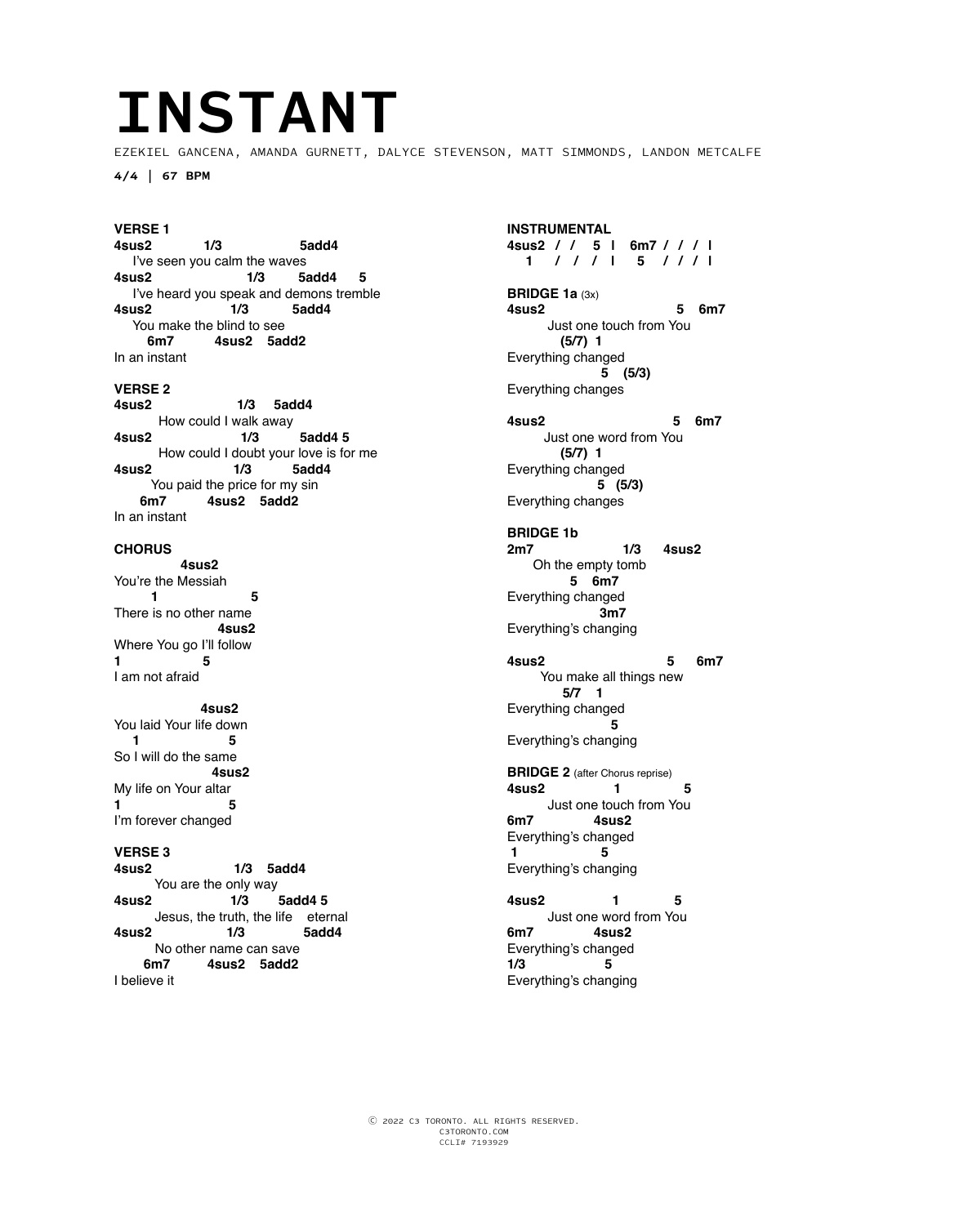## **INSTANT**

EZEKIEL GANCENA, AMANDA GURNETT, DALYCE STEVENSON, MATT SIMMONDS, LANDON METCALFE

**4/4 | 67 BPM**

#### **VERSE 1**

**4sus2 1/3 5add4** I've seen you calm the waves<br>**4sus2** 1/3 5a **4sus2 1/3 5add4 5** I've heard you speak and demons tremble **4sus2 1/3 5add4** You make the blind to see  **6m7 4sus2 5add2** In an instant

## **VERSE 2**

**4sus2 1/3 5add4**  How could I walk away<br>4sus2 1/3 **4sus2 1/3 5add4 5**  How could I doubt your love is for me<br>4sus2 1/3 5add4 **4sus2 1/3 5add4**  You paid the price for my sin<br>6m7 4sus2 5add2  **6m7 4sus2 5add2** In an instant

#### **CHORUS**

 **4sus2**  You're the Messiah  **1 5** There is no other name  **4sus2**  Where You go I'll follow<br>1 5 **1 5** I am not afraid

#### **4sus2**

You laid Your life down<br>1 5  **1 5** So I will do the same  **4sus2** My life on Your altar<br>1 **1 5** I'm forever changed

#### **VERSE 3**

**4sus2 1/3 5add4** You are the only way<br> $4sus2$   $1/3$ 5add4 5 Jesus, the truth, the life eternal<br>1/3 5add4 **4sus2 1/3 5add4** No other name can save<br>6m7 4sus2 5add2  **6m7 4sus2 5add2** I believe it

**INSTRUMENTAL 4sus2 / / 5 | 6m7 / / / | 1 / / / | 5 / / / | BRIDGE 1a** (3x) **4sus2 5 6m7**  Just one touch from You

 **(5/7) 1**  Everything changed  **5 (5/3)** Everything changes

#### **4sus2 5 6m7** Just one word from You  **(5/7) 1**  Everything changed  **5 (5/3)** Everything changes

**BRIDGE 1b 2m7 1/3 4sus2** Oh the empty tomb  **5 6m7** Everything changed  **3m7** Everything's changing

**4sus2 5 6m7** You make all things new  **5/7 1**  Everything changed **5** Everything's changing

**BRIDGE 2** (after Chorus reprise)<br>4sus2 1 **4sus2 1 5**  Just one touch from You<br>6m7 **4sus2 6m7 4sus2**  Everything's changed  **1 5**  Everything's changing

**4sus2 1 5**  Just one word from You<br>6m7 4sus2 **6m7 4sus2**  Everything's changed<br>1/3 5 **1/3 5**  Everything's changing